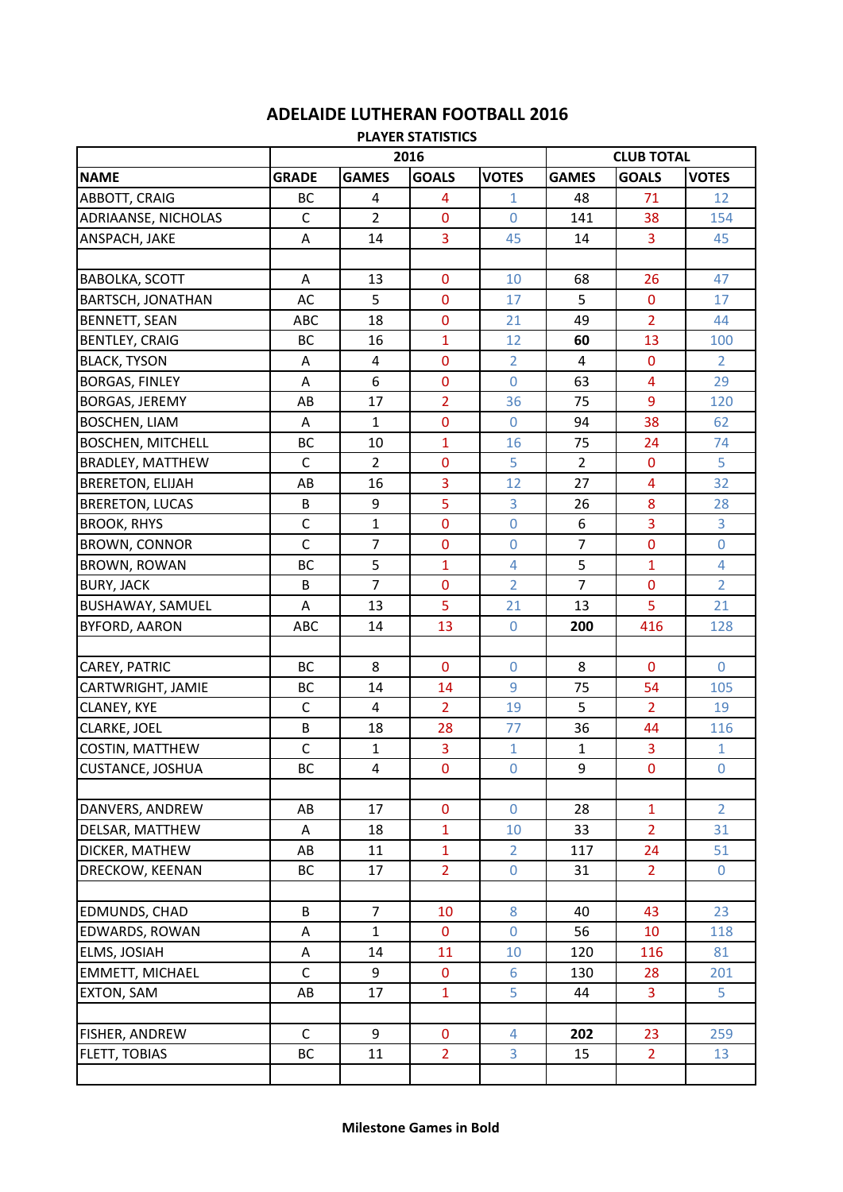## **ADELAIDE LUTHERAN FOOTBALL 2016**

| <b>PLAYER STATISTICS</b> |              |                  |                |                  |                   |                |                |  |  |
|--------------------------|--------------|------------------|----------------|------------------|-------------------|----------------|----------------|--|--|
|                          |              |                  | 2016           |                  | <b>CLUB TOTAL</b> |                |                |  |  |
| <b>NAME</b>              | <b>GRADE</b> | <b>GAMES</b>     | <b>GOALS</b>   | <b>VOTES</b>     | <b>GAMES</b>      | <b>GOALS</b>   | <b>VOTES</b>   |  |  |
| ABBOTT, CRAIG            | <b>BC</b>    | 4                | 4              | $\mathbf{1}$     | 48                | 71             | 12             |  |  |
| ADRIAANSE, NICHOLAS      | $\mathsf C$  | $\overline{2}$   | $\mathbf 0$    | $\mathbf 0$      | 141               | 38             | 154            |  |  |
| ANSPACH, JAKE            | A            | 14               | 3              | 45               | 14                | $\overline{3}$ | 45             |  |  |
|                          |              |                  |                |                  |                   |                |                |  |  |
| <b>BABOLKA, SCOTT</b>    | A            | 13               | $\bf{0}$       | 10               | 68                | 26             | 47             |  |  |
| <b>BARTSCH, JONATHAN</b> | AC           | 5                | $\mathbf 0$    | 17               | 5                 | $\mathbf 0$    | 17             |  |  |
| <b>BENNETT, SEAN</b>     | ABC          | 18               | $\mathbf 0$    | 21               | 49                | $\overline{2}$ | 44             |  |  |
| <b>BENTLEY, CRAIG</b>    | BC           | 16               | $\mathbf{1}$   | 12               | 60                | 13             | 100            |  |  |
| <b>BLACK, TYSON</b>      | Α            | 4                | $\mathbf 0$    | $\overline{2}$   | 4                 | $\mathbf 0$    | $\overline{2}$ |  |  |
| <b>BORGAS, FINLEY</b>    | A            | $\boldsymbol{6}$ | $\mathbf 0$    | $\mathbf 0$      | 63                | 4              | 29             |  |  |
| <b>BORGAS, JEREMY</b>    | AB           | 17               | $\overline{2}$ | 36               | 75                | 9              | 120            |  |  |
| <b>BOSCHEN, LIAM</b>     | Α            | $\mathbf{1}$     | $\mathbf 0$    | $\mathbf 0$      | 94                | 38             | 62             |  |  |
| <b>BOSCHEN, MITCHELL</b> | BC           | 10               | 1              | 16               | 75                | 24             | 74             |  |  |
| <b>BRADLEY, MATTHEW</b>  | $\mathsf{C}$ | $\overline{2}$   | $\pmb{0}$      | 5                | $\overline{2}$    | $\pmb{0}$      | 5              |  |  |
| <b>BRERETON, ELIJAH</b>  | AB           | 16               | 3              | 12               | 27                | 4              | 32             |  |  |
| <b>BRERETON, LUCAS</b>   | B            | 9                | 5              | 3                | 26                | 8              | 28             |  |  |
| <b>BROOK, RHYS</b>       | $\mathsf C$  | $\mathbf{1}$     | $\mathbf 0$    | $\pmb{0}$        | 6                 | 3              | 3              |  |  |
| <b>BROWN, CONNOR</b>     | $\mathsf{C}$ | $\overline{7}$   | $\mathbf 0$    | $\overline{0}$   | $\overline{7}$    | $\mathbf 0$    | $\pmb{0}$      |  |  |
| <b>BROWN, ROWAN</b>      | <b>BC</b>    | 5                | 1              | 4                | 5                 | $\overline{1}$ | $\overline{4}$ |  |  |
| <b>BURY, JACK</b>        | B            | $\overline{7}$   | $\mathbf 0$    | $\overline{2}$   | $\overline{7}$    | $\bf{0}$       | $\overline{2}$ |  |  |
| <b>BUSHAWAY, SAMUEL</b>  | A            | 13               | 5              | 21               | 13                | $\overline{5}$ | 21             |  |  |
| <b>BYFORD, AARON</b>     | ABC          | 14               | 13             | $\boldsymbol{0}$ | 200               | 416            | 128            |  |  |
|                          |              |                  |                |                  |                   |                |                |  |  |
| CAREY, PATRIC            | <b>BC</b>    | 8                | $\mathbf 0$    | $\mathbf 0$      | 8                 | $\mathbf 0$    | $\mathbf 0$    |  |  |
| CARTWRIGHT, JAMIE        | BC           | 14               | 14             | 9                | 75                | 54             | 105            |  |  |
| CLANEY, KYE              | $\mathsf C$  | $\overline{4}$   | $\overline{2}$ | 19               | 5                 | $\overline{2}$ | 19             |  |  |
| CLARKE, JOEL             | B            | 18               | 28             | 77               | 36                | 44             | 116            |  |  |
| <b>COSTIN, MATTHEW</b>   | C            | $\mathbf{1}$     | $\overline{3}$ | $\mathbf{1}$     | $\mathbf{1}$      | 3              | $\mathbf 1$    |  |  |
| <b>CUSTANCE, JOSHUA</b>  | <b>BC</b>    | $\overline{4}$   | $\mathbf 0$    | $\boldsymbol{0}$ | 9                 | $\pmb{0}$      | $\mathbf 0$    |  |  |
|                          |              |                  |                |                  |                   |                |                |  |  |
| DANVERS, ANDREW          | AB           | 17               | $\mathbf 0$    | $\overline{0}$   | 28                | $\mathbf{1}$   | $\overline{2}$ |  |  |
| DELSAR, MATTHEW          | Α            | 18               | $\mathbf{1}$   | 10               | 33                | $\overline{2}$ | 31             |  |  |
| DICKER, MATHEW           | AB           | 11               | $\mathbf{1}$   | $\overline{2}$   | 117               | 24             | 51             |  |  |
| DRECKOW, KEENAN          | BC           | 17               | $\overline{2}$ | $\mathbf 0$      | 31                | 2 <sup>1</sup> | $\mathbf 0$    |  |  |
|                          |              |                  |                |                  |                   |                |                |  |  |
| <b>EDMUNDS, CHAD</b>     | B            | $\overline{7}$   | 10             | 8                | 40                | 43             | 23             |  |  |
| <b>EDWARDS, ROWAN</b>    | A            | $\mathbf{1}$     | $\bf{0}$       | $\mathbf 0$      | 56                | 10             | 118            |  |  |
| <b>ELMS, JOSIAH</b>      | A            | 14               | 11             | 10               | 120               | 116            | 81             |  |  |
| <b>EMMETT, MICHAEL</b>   | $\mathsf{C}$ | 9                | $\mathbf 0$    | $6\phantom{a}$   | 130               | 28             | 201            |  |  |
| <b>EXTON, SAM</b>        | AB           | 17               | $\mathbf{1}$   | 5                | 44                | $\mathbf{3}$   | 5.             |  |  |
|                          |              |                  |                |                  |                   |                |                |  |  |
| <b>FISHER, ANDREW</b>    | $\mathsf C$  | 9                | $\mathbf{0}$   | 4                | 202               | 23             | 259            |  |  |
| <b>FLETT, TOBIAS</b>     | ВC           | 11               | $\overline{2}$ | $\overline{3}$   | 15                | 2 <sup>1</sup> | 13             |  |  |
|                          |              |                  |                |                  |                   |                |                |  |  |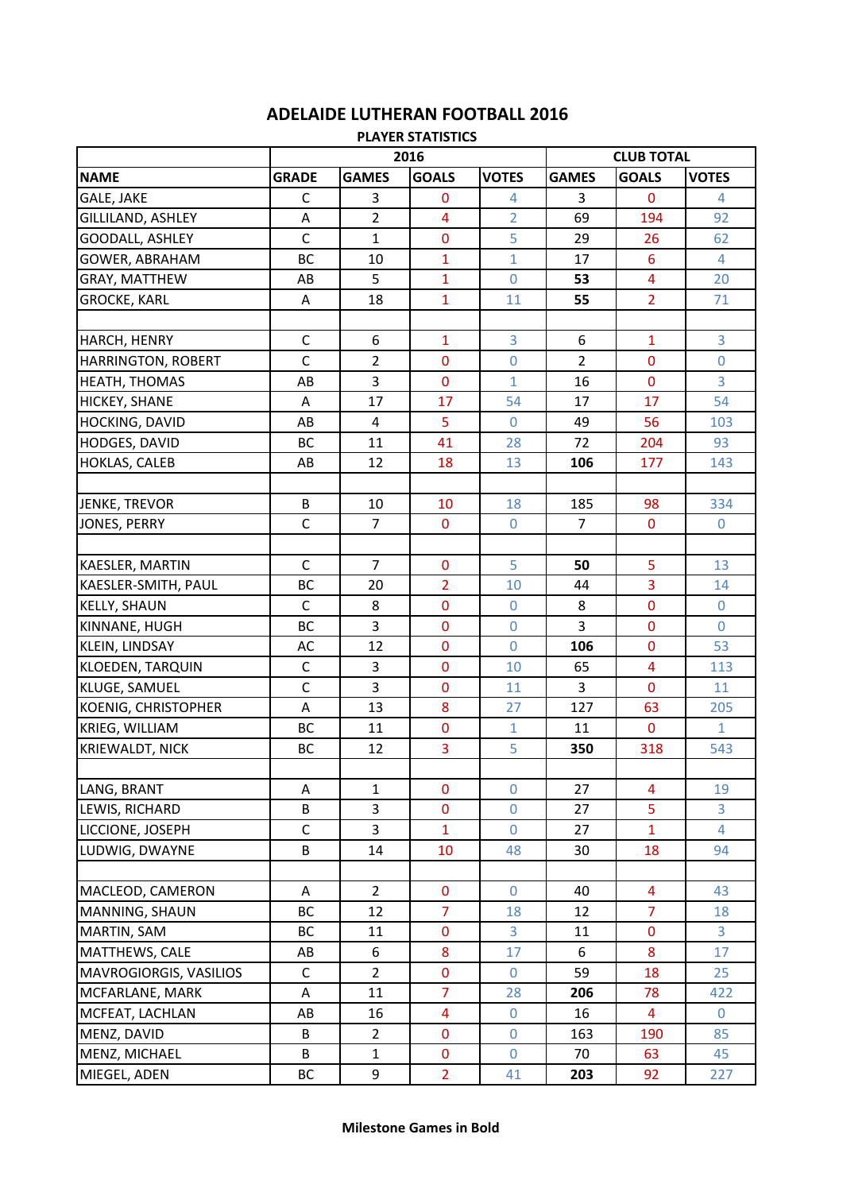## **ADELAIDE LUTHERAN FOOTBALL 2016**

| <b>PLAYER STATISTICS</b>  |                |                         |                         |                  |                   |                         |                |  |  |
|---------------------------|----------------|-------------------------|-------------------------|------------------|-------------------|-------------------------|----------------|--|--|
|                           | 2016           |                         |                         |                  | <b>CLUB TOTAL</b> |                         |                |  |  |
| <b>NAME</b>               | <b>GRADE</b>   | <b>GAMES</b>            | <b>GOALS</b>            | <b>VOTES</b>     | <b>GAMES</b>      | <b>GOALS</b>            | <b>VOTES</b>   |  |  |
| <b>GALE, JAKE</b>         | $\mathsf C$    | 3                       | $\bf{0}$                | 4                | 3                 | $\mathbf 0$             | $\overline{4}$ |  |  |
| GILLILAND, ASHLEY         | A              | $\overline{2}$          | $\overline{\mathbf{4}}$ | $\overline{2}$   | 69                | 194                     | 92             |  |  |
| <b>GOODALL, ASHLEY</b>    | $\mathsf{C}$   | $\mathbf{1}$            | $\bf{0}$                | 5                | 29                | 26                      | 62             |  |  |
| <b>GOWER, ABRAHAM</b>     | BC             | 10                      | 1                       | $\mathbf{1}$     | 17                | $6\phantom{1}6$         | 4              |  |  |
| GRAY, MATTHEW             | AB             | 5                       | 1                       | $\boldsymbol{0}$ | 53                | $\overline{\mathbf{4}}$ | 20             |  |  |
| <b>GROCKE, KARL</b>       | A              | 18                      | 1                       | 11               | 55                | $\overline{2}$          | 71             |  |  |
|                           |                |                         |                         |                  |                   |                         |                |  |  |
| HARCH, HENRY              | $\mathsf C$    | 6                       | 1                       | 3                | 6                 | $\mathbf{1}$            | 3              |  |  |
| <b>HARRINGTON, ROBERT</b> | $\mathsf{C}$   | $\overline{2}$          | $\mathbf{0}$            | $\mathbf 0$      | $\overline{2}$    | $\pmb{0}$               | $\mathbf 0$    |  |  |
| HEATH, THOMAS             | AB             | 3                       | $\mathbf 0$             | $\mathbf{1}$     | 16                | $\mathbf 0$             | 3              |  |  |
| <b>HICKEY, SHANE</b>      | A              | 17                      | 17                      | 54               | 17                | 17                      | 54             |  |  |
| HOCKING, DAVID            | AB             | $\overline{\mathbf{4}}$ | 5                       | $\overline{0}$   | 49                | 56                      | 103            |  |  |
| HODGES, DAVID             | BC             | 11                      | 41                      | 28               | 72                | 204                     | 93             |  |  |
| <b>HOKLAS, CALEB</b>      | AB             | 12                      | 18                      | 13               | 106               | 177                     | 143            |  |  |
|                           |                |                         |                         |                  |                   |                         |                |  |  |
| JENKE, TREVOR             | B              | 10                      | 10                      | 18               | 185               | 98                      | 334            |  |  |
| JONES, PERRY              | $\mathsf{C}$   | $\overline{7}$          | $\bf{0}$                | $\boldsymbol{0}$ | $\overline{7}$    | $\mathbf 0$             | $\overline{0}$ |  |  |
|                           |                |                         |                         |                  |                   |                         |                |  |  |
| <b>KAESLER, MARTIN</b>    | $\mathsf C$    | $\overline{7}$          | $\bf{0}$                | 5                | 50                | 5                       | 13             |  |  |
| KAESLER-SMITH, PAUL       | BC             | 20                      | $\overline{2}$          | 10               | 44                | $\overline{3}$          | 14             |  |  |
| <b>KELLY, SHAUN</b>       | $\mathsf{C}$   | 8                       | $\mathbf 0$             | $\overline{0}$   | 8                 | $\mathbf 0$             | $\overline{0}$ |  |  |
| KINNANE, HUGH             | <b>BC</b>      | 3                       | $\mathbf 0$             | $\overline{0}$   | 3                 | $\mathbf 0$             | $\overline{0}$ |  |  |
| KLEIN, LINDSAY            | AC             | 12                      | $\mathbf 0$             | 0                | 106               | 0                       | 53             |  |  |
| <b>KLOEDEN, TARQUIN</b>   | $\mathsf C$    | 3                       | $\mathbf 0$             | 10               | 65                | $\overline{4}$          | 113            |  |  |
| KLUGE, SAMUEL             | $\overline{c}$ | 3                       | $\bf{0}$                | 11               | 3                 | $\pmb{0}$               | 11             |  |  |
| KOENIG, CHRISTOPHER       | A              | 13                      | 8                       | 27               | 127               | 63                      | 205            |  |  |
| KRIEG, WILLIAM            | BC             | 11                      | $\bf{0}$                | $\mathbf{1}$     | 11                | $\mathbf 0$             | $\mathbf{1}$   |  |  |
| <b>KRIEWALDT, NICK</b>    | BC             | 12                      | 3                       | 5                | 350               | 318                     | 543            |  |  |
|                           |                |                         |                         |                  |                   |                         |                |  |  |
| LANG, BRANT               | Α              | $\mathbf{1}$            | $\bf{0}$                | $\boldsymbol{0}$ | 27                | $\overline{\mathbf{4}}$ | 19             |  |  |
| LEWIS, RICHARD            | B              | 3                       | $\bf{0}$                | $\mathbf 0$      | 27                | 5                       | 3              |  |  |
| LICCIONE, JOSEPH          | $\mathsf{C}$   | 3                       | $\mathbf{1}$            | $\boldsymbol{0}$ | 27                | $\overline{1}$          | $\overline{4}$ |  |  |
| LUDWIG, DWAYNE            | B              | 14                      | 10                      | 48               | 30                | 18                      | 94             |  |  |
|                           |                |                         |                         |                  |                   |                         |                |  |  |
| MACLEOD, CAMERON          | Α              | $\overline{2}$          | $\mathbf 0$             | $\mathbf 0$      | 40                | $\overline{4}$          | 43             |  |  |
| MANNING, SHAUN            | <b>BC</b>      | 12                      | $\overline{7}$          | 18               | 12                | $\overline{7}$          | 18             |  |  |
| <b>MARTIN, SAM</b>        | BC             | 11                      | $\pmb{0}$               | 3                | 11                | $\mathbf 0$             | 3              |  |  |
| MATTHEWS, CALE            | AB             | 6                       | 8                       | 17               | 6                 | $\bf 8$                 | 17             |  |  |
| MAVROGIORGIS, VASILIOS    | $\mathsf C$    | $\overline{2}$          | $\bf{0}$                | $\overline{0}$   | 59                | 18                      | 25             |  |  |
| MCFARLANE, MARK           | A              | 11                      | $\overline{7}$          | 28               | 206               | 78                      | 422            |  |  |
| MCFEAT, LACHLAN           | AB             | 16                      | 4                       | $\mathbf 0$      | 16                | $\overline{4}$          | $\mathbf 0$    |  |  |
| MENZ, DAVID               | B              | $\overline{2}$          | $\pmb{0}$               | $\boldsymbol{0}$ | 163               | 190                     | 85             |  |  |
| MENZ, MICHAEL             | B              | $\mathbf{1}$            | $\pmb{0}$               | $\overline{0}$   | 70                | 63                      | 45             |  |  |
| MIEGEL, ADEN              | ВC             | 9                       | $\overline{2}$          | 41               | 203               | 92                      | 227            |  |  |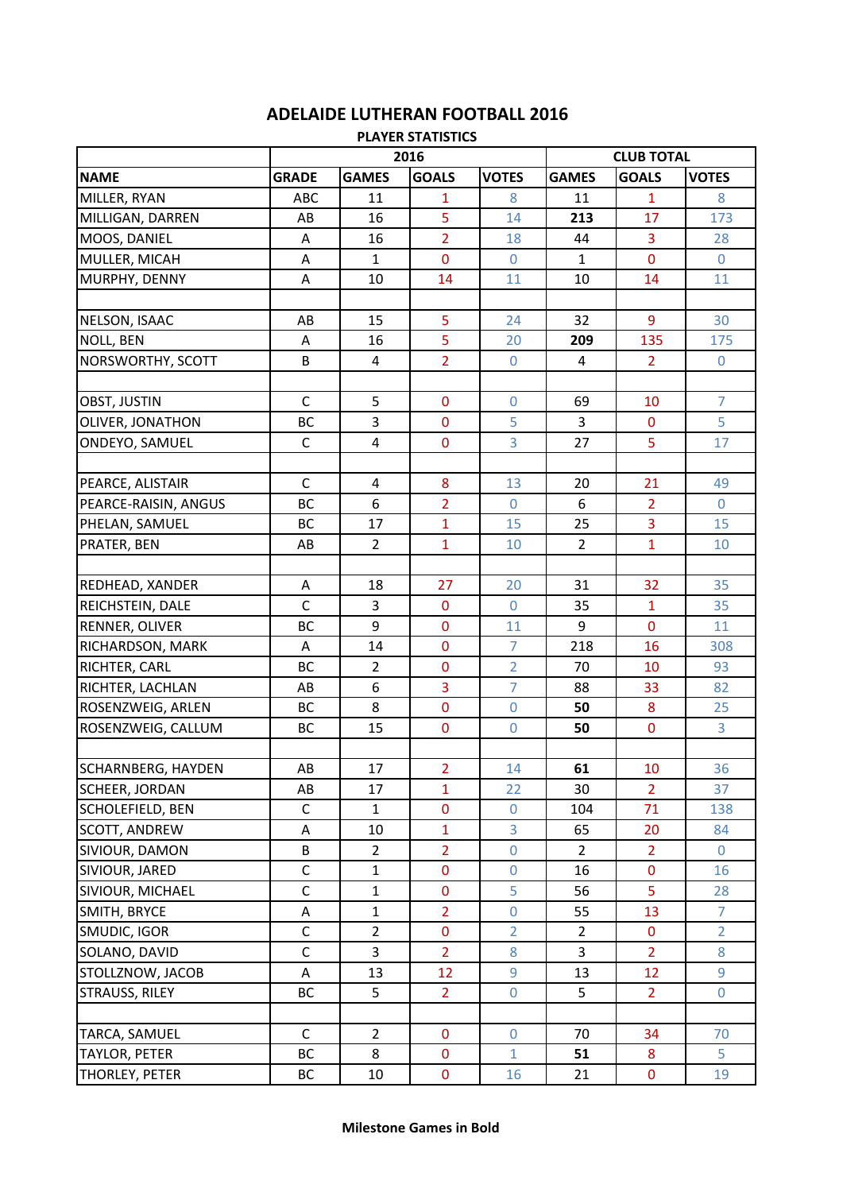## **ADELAIDE LUTHERAN FOOTBALL 2016**

| <b>PLAYER STATISTICS</b>  |              |                  |                |                   |                |                |                |  |  |
|---------------------------|--------------|------------------|----------------|-------------------|----------------|----------------|----------------|--|--|
|                           |              |                  | 2016           | <b>CLUB TOTAL</b> |                |                |                |  |  |
| <b>NAME</b>               | <b>GRADE</b> | <b>GAMES</b>     | <b>GOALS</b>   | <b>VOTES</b>      | <b>GAMES</b>   | <b>GOALS</b>   | <b>VOTES</b>   |  |  |
| MILLER, RYAN              | ABC          | 11               | $\mathbf{1}$   | 8                 | 11             | $\mathbf{1}$   | 8              |  |  |
| MILLIGAN, DARREN          | AB           | 16               | 5              | 14                | 213            | 17             | 173            |  |  |
| MOOS, DANIEL              | A            | 16               | $\overline{2}$ | 18                | 44             | 3              | 28             |  |  |
| MULLER, MICAH             | A            | $\mathbf{1}$     | $\mathbf{0}$   | $\Omega$          | $\mathbf{1}$   | $\mathbf 0$    | $\overline{0}$ |  |  |
| MURPHY, DENNY             | A            | 10               | 14             | 11                | 10             | 14             | 11             |  |  |
|                           |              |                  |                |                   |                |                |                |  |  |
| NELSON, ISAAC             | AB           | 15               | 5              | 24                | 32             | 9              | 30             |  |  |
| <b>NOLL, BEN</b>          | Α            | 16               | 5              | 20                | 209            | 135            | 175            |  |  |
| NORSWORTHY, SCOTT         | B            | 4                | $\overline{2}$ | $\overline{0}$    | 4              | $\overline{2}$ | $\overline{0}$ |  |  |
|                           |              |                  |                |                   |                |                |                |  |  |
| OBST, JUSTIN              | $\mathsf{C}$ | 5                | $\mathbf 0$    | $\mathbf 0$       | 69             | 10             | $\overline{7}$ |  |  |
| OLIVER, JONATHON          | BC           | 3                | $\mathbf 0$    | 5                 | 3              | $\mathbf 0$    | 5              |  |  |
| ONDEYO, SAMUEL            | C            | 4                | $\mathbf 0$    | 3                 | 27             | 5              | 17             |  |  |
|                           |              |                  |                |                   |                |                |                |  |  |
| PEARCE, ALISTAIR          | $\mathsf C$  | $\overline{a}$   | $\bf 8$        | 13                | 20             | 21             | 49             |  |  |
| PEARCE-RAISIN, ANGUS      | BC           | 6                | $\overline{2}$ | $\overline{0}$    | 6              | $\overline{2}$ | $\overline{0}$ |  |  |
| PHELAN, SAMUEL            | BC           | 17               | $\overline{1}$ | 15                | 25             | $\overline{3}$ | 15             |  |  |
| PRATER, BEN               | AB           | $\overline{2}$   | 1              | 10                | $\overline{2}$ | $\overline{1}$ | 10             |  |  |
|                           |              |                  |                |                   |                |                |                |  |  |
| REDHEAD, XANDER           | Α            | 18               | 27             | 20                | 31             | 32             | 35             |  |  |
| REICHSTEIN, DALE          | $\mathsf{C}$ | 3                | $\mathbf 0$    | $\overline{0}$    | 35             | $\mathbf{1}$   | 35             |  |  |
| RENNER, OLIVER            | BC           | 9                | $\pmb{0}$      | 11                | 9              | $\mathbf 0$    | 11             |  |  |
| RICHARDSON, MARK          | A            | 14               | $\bf{0}$       | 7                 | 218            | 16             | 308            |  |  |
| RICHTER, CARL             | <b>BC</b>    | $\overline{2}$   | $\mathbf 0$    | $\overline{2}$    | 70             | 10             | 93             |  |  |
| RICHTER, LACHLAN          | AB           | $\boldsymbol{6}$ | 3              | $\overline{7}$    | 88             | 33             | 82             |  |  |
| ROSENZWEIG, ARLEN         | BC           | 8                | $\bf{0}$       | $\mathbf 0$       | 50             | 8              | 25             |  |  |
| ROSENZWEIG, CALLUM        | ВC           | 15               | $\pmb{0}$      | $\boldsymbol{0}$  | 50             | $\mathbf 0$    | 3              |  |  |
|                           |              |                  |                |                   |                |                |                |  |  |
| <b>SCHARNBERG, HAYDEN</b> | AB           | 17               | $\overline{2}$ | 14                | 61             | 10             | 36             |  |  |
| SCHEER, JORDAN            | AB           | 17               | $\overline{1}$ | 22                | 30             | $\overline{2}$ | 37             |  |  |
| SCHOLEFIELD, BEN          | $\mathsf C$  | $\mathbf{1}$     | $\pmb{0}$      | $\boldsymbol{0}$  | 104            | 71             | 138            |  |  |
| <b>SCOTT, ANDREW</b>      | $\sf A$      | 10               | $\mathbf{1}$   | 3                 | 65             | 20             | 84             |  |  |
| SIVIOUR, DAMON            | B            | $\overline{2}$   | $\overline{2}$ | $\boldsymbol{0}$  | $\overline{2}$ | $\overline{2}$ | $\mathbf 0$    |  |  |
| SIVIOUR, JARED            | $\mathsf C$  | $\mathbf{1}$     | $\pmb{0}$      | $\mathbf 0$       | 16             | $\mathbf 0$    | 16             |  |  |
| SIVIOUR, MICHAEL          | $\mathsf C$  | $\mathbf{1}$     | $\bf{0}$       | 5                 | 56             | 5              | 28             |  |  |
| SMITH, BRYCE              | A            | $\mathbf{1}$     | $\overline{2}$ | $\boldsymbol{0}$  | 55             | 13             | $\overline{7}$ |  |  |
| SMUDIC, IGOR              | $\mathsf C$  | $\overline{2}$   | $\pmb{0}$      | $\overline{2}$    | $\overline{2}$ | $\pmb{0}$      | $\overline{2}$ |  |  |
| SOLANO, DAVID             | $\mathsf C$  | 3                | $\overline{2}$ | 8                 | 3              | $\overline{2}$ | 8              |  |  |
| STOLLZNOW, JACOB          | A            | 13               | 12             | 9                 | 13             | 12             | 9              |  |  |
| <b>STRAUSS, RILEY</b>     | BC           | 5                | $\overline{2}$ | $\boldsymbol{0}$  | 5              | 2 <sup>1</sup> | $\overline{0}$ |  |  |
|                           |              |                  |                |                   |                |                |                |  |  |
| TARCA, SAMUEL             | $\mathsf{C}$ | $\overline{2}$   | $\mathbf 0$    | $\mathbf 0$       | 70             | 34             | 70             |  |  |
| <b>TAYLOR, PETER</b>      | ВC           | 8                | $\bf{0}$       | $\mathbf{1}$      | 51             | 8              | 5              |  |  |
| THORLEY, PETER            | BC           | 10               | $\mathbf 0$    | 16                | 21             | $\mathbf 0$    | 19             |  |  |